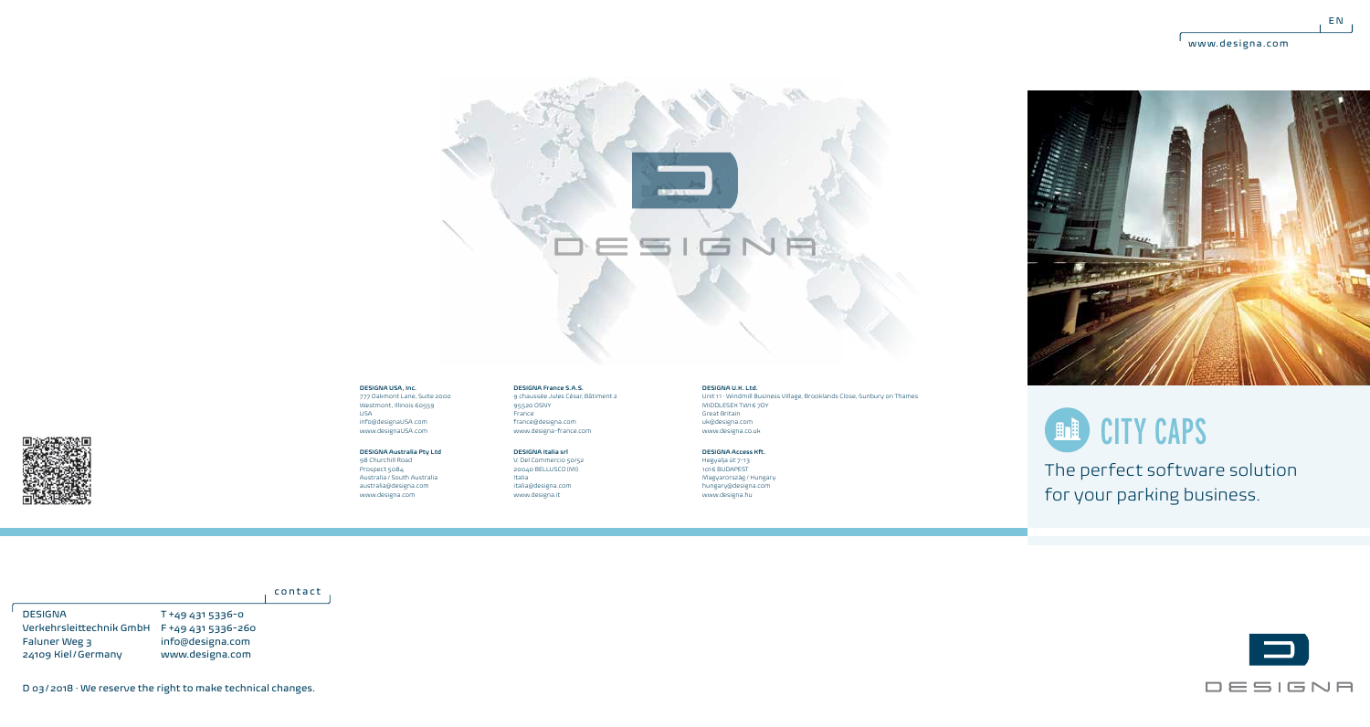$E$  EN





### **DESIGNA USA, Inc.**

777 Oakmont Lane, Suite 2000 Westmont, Illinois 60559 USA info@designaUSA.com www.designaUSA.com

### **DESIGNA Australia Pty Ltd** 98 Churchill Road

Prospect 5084 Australia / South Australia australia@designa.com www.designa.com

95520 OSNY France france@designa.com www.designa-france.com **DESIGNA Italia srl** V. Del Commercio 50/52

**DESIGNA France S.A.S.** 9 chaussée Jules César, Bâtiment 2

20040 BELLUSCO (MI) Italia italia@designa.com www.designa.it

**DESIGNA U.K. Ltd.**

Unit 11 · Windmill Business Village, Brooklands Close, Sunbury on Thames MIDDLESEX TW16 7DY Great Britain uk@designa.com www.designa.co.uk

**DESIGNA Access Kft.** Hegyalja út 7-13 1016 BUDAPEST

Magyarország / Hungary hungary@designa.com www.designa.hu

### **ED CITY CAPS**

The perfect software solution for your parking business.

contact

T +49 431 5336-0 Verkehrsleittechnik GmbH F +49 431 5336-260 info@designa.com www.designa.com DESIGNA Faluner Weg 3 24109 Kiel/Germany



D 03/2018 · We reserve the right to make technical changes.